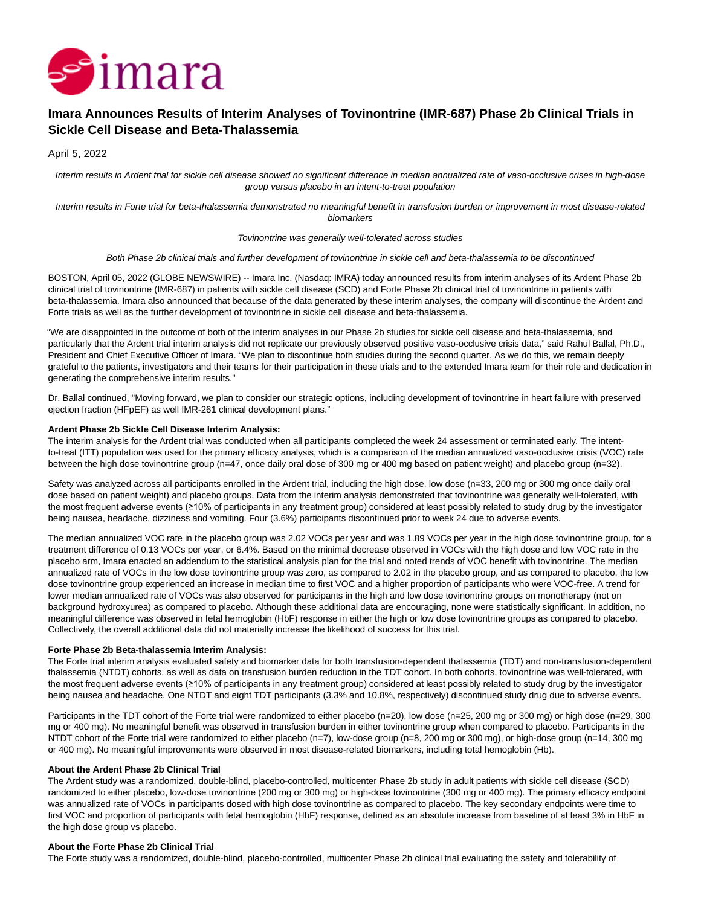

# **Imara Announces Results of Interim Analyses of Tovinontrine (IMR-687) Phase 2b Clinical Trials in Sickle Cell Disease and Beta-Thalassemia**

April 5, 2022

Interim results in Ardent trial for sickle cell disease showed no significant difference in median annualized rate of vaso-occlusive crises in high-dose group versus placebo in an intent-to-treat population

Interim results in Forte trial for beta-thalassemia demonstrated no meaningful benefit in transfusion burden or improvement in most disease-related biomarkers

#### Tovinontrine was generally well-tolerated across studies

Both Phase 2b clinical trials and further development of tovinontrine in sickle cell and beta-thalassemia to be discontinued

BOSTON, April 05, 2022 (GLOBE NEWSWIRE) -- Imara Inc. (Nasdaq: IMRA) today announced results from interim analyses of its Ardent Phase 2b clinical trial of tovinontrine (IMR-687) in patients with sickle cell disease (SCD) and Forte Phase 2b clinical trial of tovinontrine in patients with beta-thalassemia. Imara also announced that because of the data generated by these interim analyses, the company will discontinue the Ardent and Forte trials as well as the further development of tovinontrine in sickle cell disease and beta-thalassemia.

"We are disappointed in the outcome of both of the interim analyses in our Phase 2b studies for sickle cell disease and beta-thalassemia, and particularly that the Ardent trial interim analysis did not replicate our previously observed positive vaso-occlusive crisis data," said Rahul Ballal, Ph.D., President and Chief Executive Officer of Imara. "We plan to discontinue both studies during the second quarter. As we do this, we remain deeply grateful to the patients, investigators and their teams for their participation in these trials and to the extended Imara team for their role and dedication in generating the comprehensive interim results."

Dr. Ballal continued, "Moving forward, we plan to consider our strategic options, including development of tovinontrine in heart failure with preserved ejection fraction (HFpEF) as well IMR-261 clinical development plans."

## **Ardent Phase 2b Sickle Cell Disease Interim Analysis:**

The interim analysis for the Ardent trial was conducted when all participants completed the week 24 assessment or terminated early. The intentto-treat (ITT) population was used for the primary efficacy analysis, which is a comparison of the median annualized vaso-occlusive crisis (VOC) rate between the high dose tovinontrine group (n=47, once daily oral dose of 300 mg or 400 mg based on patient weight) and placebo group (n=32).

Safety was analyzed across all participants enrolled in the Ardent trial, including the high dose, low dose (n=33, 200 mg or 300 mg once daily oral dose based on patient weight) and placebo groups. Data from the interim analysis demonstrated that tovinontrine was generally well-tolerated, with the most frequent adverse events (≥10% of participants in any treatment group) considered at least possibly related to study drug by the investigator being nausea, headache, dizziness and vomiting. Four (3.6%) participants discontinued prior to week 24 due to adverse events.

The median annualized VOC rate in the placebo group was 2.02 VOCs per year and was 1.89 VOCs per year in the high dose tovinontrine group, for a treatment difference of 0.13 VOCs per year, or 6.4%. Based on the minimal decrease observed in VOCs with the high dose and low VOC rate in the placebo arm, Imara enacted an addendum to the statistical analysis plan for the trial and noted trends of VOC benefit with tovinontrine. The median annualized rate of VOCs in the low dose tovinontrine group was zero, as compared to 2.02 in the placebo group, and as compared to placebo, the low dose tovinontrine group experienced an increase in median time to first VOC and a higher proportion of participants who were VOC-free. A trend for lower median annualized rate of VOCs was also observed for participants in the high and low dose tovinontrine groups on monotherapy (not on background hydroxyurea) as compared to placebo. Although these additional data are encouraging, none were statistically significant. In addition, no meaningful difference was observed in fetal hemoglobin (HbF) response in either the high or low dose tovinontrine groups as compared to placebo. Collectively, the overall additional data did not materially increase the likelihood of success for this trial.

## **Forte Phase 2b Beta-thalassemia Interim Analysis:**

The Forte trial interim analysis evaluated safety and biomarker data for both transfusion-dependent thalassemia (TDT) and non-transfusion-dependent thalassemia (NTDT) cohorts, as well as data on transfusion burden reduction in the TDT cohort. In both cohorts, tovinontrine was well-tolerated, with the most frequent adverse events (≥10% of participants in any treatment group) considered at least possibly related to study drug by the investigator being nausea and headache. One NTDT and eight TDT participants (3.3% and 10.8%, respectively) discontinued study drug due to adverse events.

Participants in the TDT cohort of the Forte trial were randomized to either placebo (n=20), low dose (n=25, 200 mg or 300 mg) or high dose (n=29, 300 mg or 400 mg). No meaningful benefit was observed in transfusion burden in either tovinontrine group when compared to placebo. Participants in the NTDT cohort of the Forte trial were randomized to either placebo (n=7), low-dose group (n=8, 200 mg or 300 mg), or high-dose group (n=14, 300 mg or 400 mg). No meaningful improvements were observed in most disease-related biomarkers, including total hemoglobin (Hb).

#### **About the Ardent Phase 2b Clinical Trial**

The Ardent study was a randomized, double-blind, placebo-controlled, multicenter Phase 2b study in adult patients with sickle cell disease (SCD) randomized to either placebo, low-dose tovinontrine (200 mg or 300 mg) or high-dose tovinontrine (300 mg or 400 mg). The primary efficacy endpoint was annualized rate of VOCs in participants dosed with high dose tovinontrine as compared to placebo. The key secondary endpoints were time to first VOC and proportion of participants with fetal hemoglobin (HbF) response, defined as an absolute increase from baseline of at least 3% in HbF in the high dose group vs placebo.

#### **About the Forte Phase 2b Clinical Trial**

The Forte study was a randomized, double-blind, placebo-controlled, multicenter Phase 2b clinical trial evaluating the safety and tolerability of